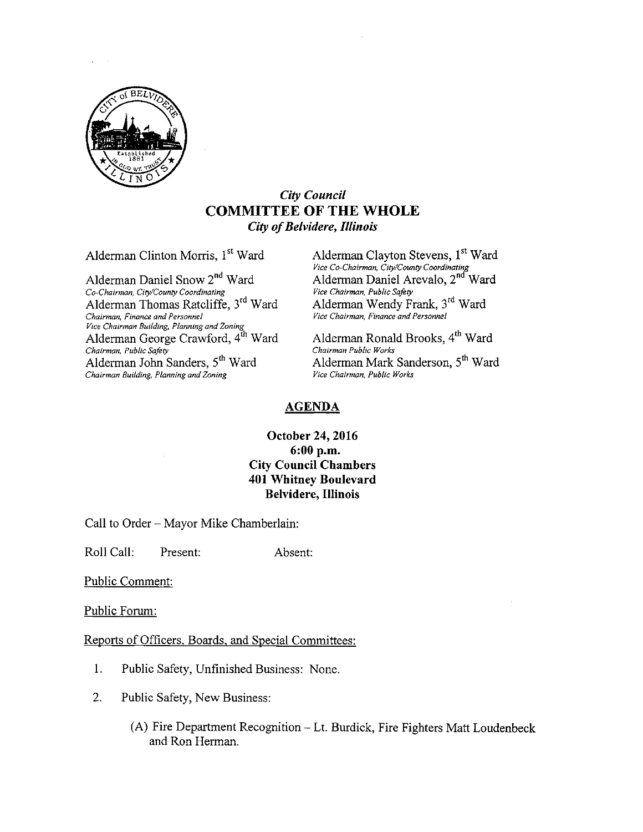

## City Council COMMITTEE OF THE WHOLE City of Belvidere, Illinois

Alderman Daniel Snow 2<sup>nd</sup> Ward Co-Chairman, City/County Coordinating Vice Chairman, Public Safety Alderman Thomas Ratcliffe, 3rd Ward Chairman, Finance and Personnel Vice Chairman, Finance and Personnel vice Chairman Building, Planning and Zoning<br>Alderman George Crawford, 4<sup>th</sup> Ward Alderman Ronald Brooks, 4<sup>th</sup> Ward Chairman, Public Safety<br>Alderman John Sanders, 5<sup>th</sup> Ward Alderman Mark Sanderson, 5<sup>th</sup> Ward Chairman Building, Planning and Zoning Vice Chairman, Public Works

Alderman Clinton Morris, 1<sup>st</sup> Ward Alderman Clayton Stevens, 1<sup>st</sup> Ward Vice Co-Chairman, City/County Coordinating Ward Alderman Daniel Arevalo, 2<sup>nd</sup> Ward Alderman Wendy Frank, 3<sup>rd</sup> Ward<br>Vice Chairman, Finance and Personnel

#### AGENDA

## October 24, 2016 6: 00 p.m. City Council Chambers 401 Whitney Boulevard Belvidere, Illinois

Call to Order— Mayor Mike Chamberlain:

Roll Call: Present: Absent:

Public Comment:

Public Forum:

Reports of Officers, Boards, and Special Committees:

- 1. Public Safety, Unfinished Business: None.
- 2. Public Safety, New Business:
	- A) Fire Department Recognition— Lt. Burdick, Fire Fighters Matt Loudenbeck and Ron Herman.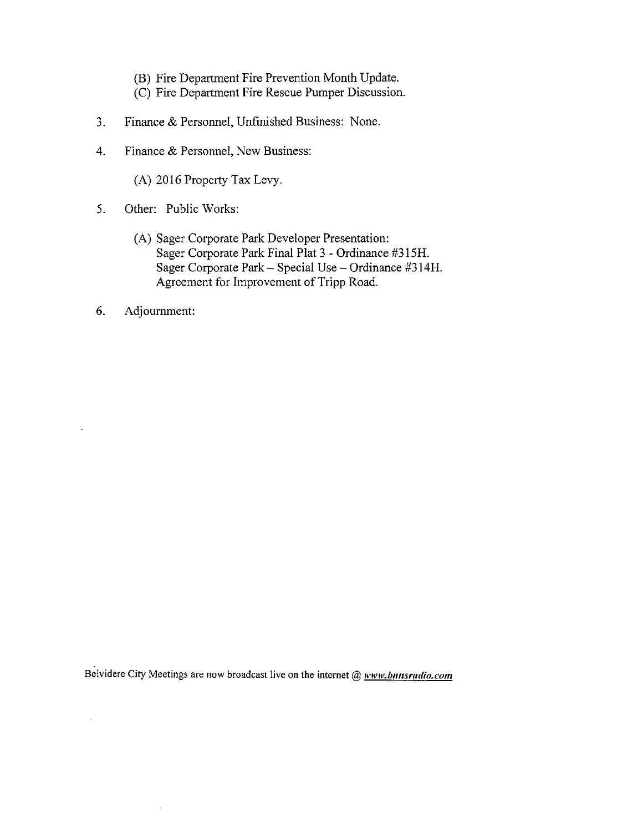- B) Fire Department Fire Prevention Month Update.
- C) Fire Department Fire Rescue Pumper Discussion.
- 3. Finance & Personnel, Unfinished Business: None.
- 4. Finance & Personnel, New Business:
	- A) 2016 Property Tax Levy.
- 5. Other: Public Works:
	- A) Sager Corporate Park Developer Presentation: Sager Corporate Park Final Plat 3 - Ordinance #315H. Sager Corporate Park— Special Use— Ordinance #314H. Agreement for Improvement of Tripp Road.
- 6. Adjournment:

 $\mathcal{A}^{\mathcal{A}}$ 

Belvidere City Meetings are now broadcast live on the internet  $@$  www.bnnsradio.com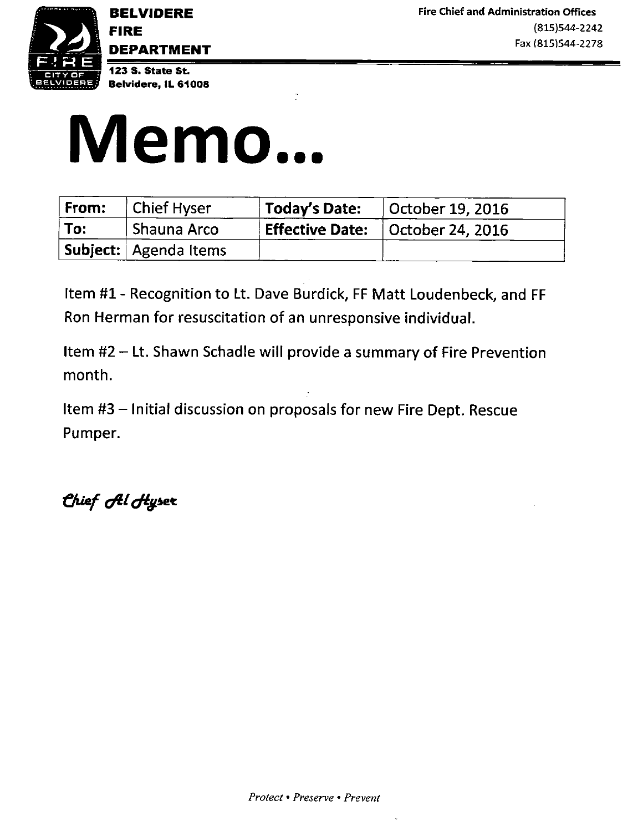

DEPARTMENT

123 S. State St. Belvidere, IL 61008

# Memo...

| From: | <b>Chief Hyser</b>           | <b>Today's Date:</b> $\vert$ October 19, 2016 |
|-------|------------------------------|-----------------------------------------------|
| To:   | ∣ Shauna Arco                | Effective Date:   October 24, 2016            |
|       | <b>Subject:</b> Agenda Items |                                               |

Item #1 - Recognition to Lt. Dave Burdick, FF Matt Loudenbeck, and FF Ron Herman for resuscitation of an unresponsive individual.

Item #2 — Lt. Shawn Schadle will provide <sup>a</sup> summary of Fire Prevention month.

Item #3 — Initial discussion on proposals for new Fire Dept. Rescue Pumper.

Chief *f*el Hyser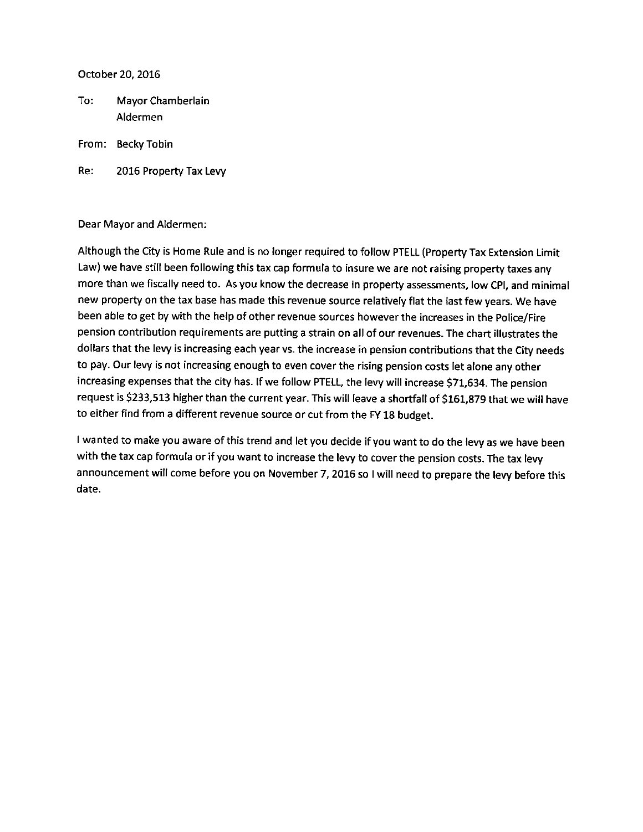October 20, 2016

To: Mayor Chamberlain Aldermen

From: Becky Tobin

Re: 2016 Property Tax Levy

Dear Mayor and Aldermen:

Although the City is Home Rule and is no longer required to follow PTELL( Property Tax Extension Limit Law) we have still been following this tax cap formula to insure we are not raising property taxes any more than we fiscally need to. As you know the decrease in property assessments, low CPI, and minimal new property on the tax base has made this revenue source relatively flat the last few years. We have been able to get by with the help of other revenue sources however the increases in the Police/Fire pension contribution requirements are putting <sup>a</sup> strain on all of our revenues. The chart illustrates the dollars that the levy is increasing each year vs. the increase in pension contributions that the City needs to pay. Our levy is not increasing enough to even cover the rising pension costs let alone any other increasing expenses that the city has. If we follow PTELL, the levy will increase \$71,634. The pension request is \$233,513 higher than the current year. This will leave a shortfall of \$161,879 that we will have to either find from <sup>a</sup> different revenue source or cut from the FY 18 budget.

<sup>I</sup> wanted to make you aware of this trend and let you decide if you want to do the levy as we have been with the tax cap formula or if you want to increase the levy to cover the pension costs. The tax levy announcement will come before you on November 7, 2016 so <sup>I</sup> will need to prepare the levy before this date.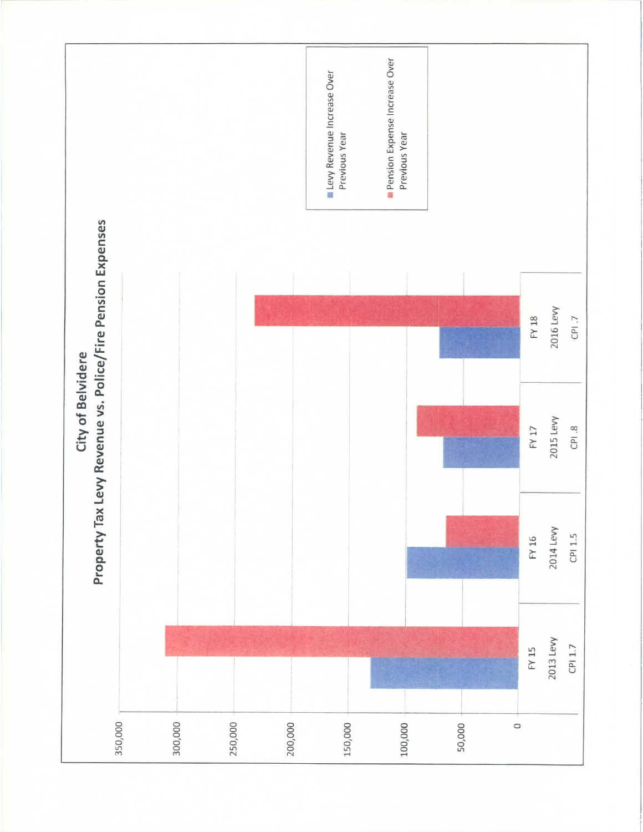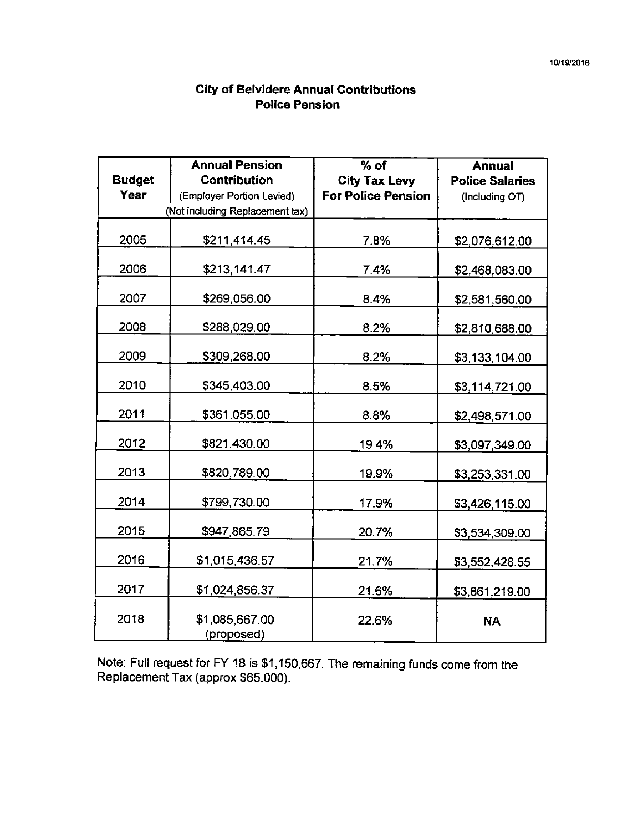# City of Belvidere Annual Contributions Police Pension

|               | <b>Annual Pension</b>           | $%$ of                    | <b>Annual</b>          |
|---------------|---------------------------------|---------------------------|------------------------|
| <b>Budget</b> | <b>Contribution</b>             | <b>City Tax Levy</b>      | <b>Police Salaries</b> |
| Year          | (Employer Portion Levied)       | <b>For Police Pension</b> | (Including OT)         |
|               | (Not including Replacement tax) |                           |                        |
|               |                                 |                           |                        |
| 2005          | \$211,414.45                    | 7.8%                      | \$2,076,612.00         |
| 2006          | \$213,141.47                    | 7.4%                      | \$2,468,083.00         |
|               |                                 |                           |                        |
| 2007          | \$269,056.00                    | 8.4%                      | \$2,581,560.00         |
| 2008          | \$288,029.00                    | 8.2%                      | \$2,810,688.00         |
|               |                                 |                           |                        |
| 2009          | \$309,268.00                    | 8.2%                      | \$3,133,104.00         |
| 2010          | \$345,403.00                    | 8.5%                      | \$3,114,721.00         |
|               |                                 |                           |                        |
| 2011          | \$361,055.00                    | 8.8%                      | \$2,498,571.00         |
| 2012          | \$821,430.00                    | 19.4%                     | \$3,097,349.00         |
| 2013          | \$820,789.00                    | 19.9%                     | \$3,253,331.00         |
| 2014          | \$799,730.00                    | 17.9%                     | \$3,426,115.00         |
| 2015          | \$947,865.79                    | 20.7%                     | \$3,534,309.00         |
| 2016          | \$1,015,436.57                  | 21.7%                     | <u>\$3,552,428.55</u>  |
| 2017          | \$1,024,856.37                  | 21.6%                     | \$3,861,219.00         |
| 2018          | \$1,085,667.00<br>(proposed)    | 22.6%                     | <b>NA</b>              |

Note: Full request for FY 18 is \$ 1, 150,667. The remaining funds come from the Replacement Tax (approx \$65,000).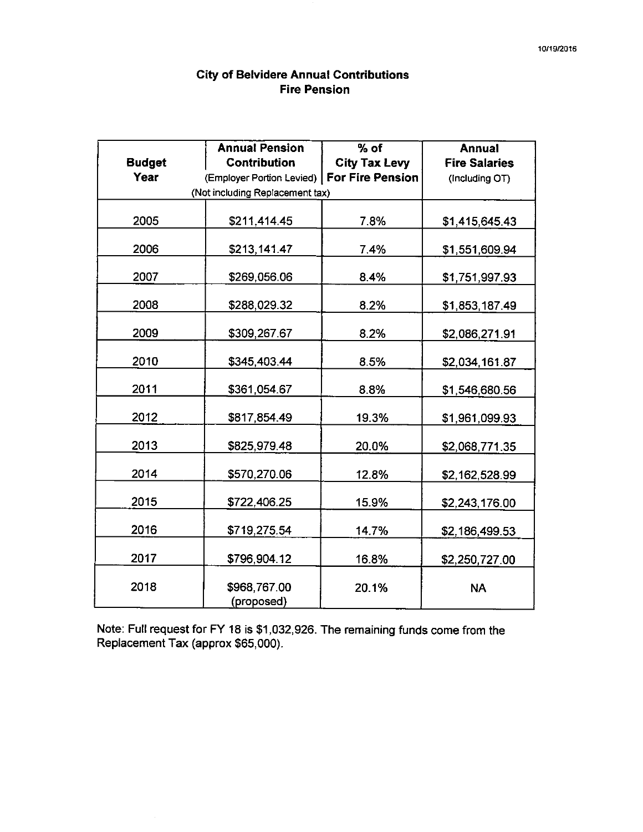## City of Belvidere Annual Contributions Fire Pension

|               | <b>Annual Pension</b>                        | $%$ of               | <b>Annual</b>        |
|---------------|----------------------------------------------|----------------------|----------------------|
| <b>Budget</b> | <b>Contribution</b>                          | <b>City Tax Levy</b> | <b>Fire Salaries</b> |
| <b>Year</b>   | (Employer Portion Levied)   For Fire Pension |                      | (Including OT)       |
|               | (Not including Replacement tax)              |                      |                      |
|               |                                              |                      |                      |
| 2005          | \$211,414.45                                 | 7.8%                 | \$1,415,645.43       |
| 2006          | \$213,141.47                                 | 7.4%                 | \$1,551,609.94       |
| 2007          | \$269,056.06                                 | 8.4%                 | \$1,751,997.93       |
| 2008          | \$288,029.32                                 | 8.2%                 | \$1,853,187.49       |
| 2009          | \$309,267.67                                 | 8.2%                 | \$2,086,271.91       |
| 2010          | \$345,403.44                                 | 8.5%                 | \$2,034,161.87       |
| 2011          | \$361,054.67                                 | 8.8%                 | \$1,546,680.56       |
| 2012          | \$817,854.49                                 | 19.3%                | \$1,961,099.93       |
| 2013          | \$825,979.48                                 | 20.0%                | \$2,068,771.35       |
| 2014          | \$570,270.06                                 | 12.8%                | \$2,162,528.99       |
| 2015          | \$722,406.25                                 | 15.9%                | \$2,243,176.00       |
| 2016          | \$719,275.54                                 | 14.7%                | \$2,186,499.53       |
| 2017          | \$796,904.12                                 | 16.8%                | \$2,250,727.00       |
| 2018          | \$968,767.00<br>(proposed)                   | 20.1%                | <b>NA</b>            |

Note: Full request for FY 18 is \$1,032,926. The remaining funds come from the Replacement Tax (approx \$65,000).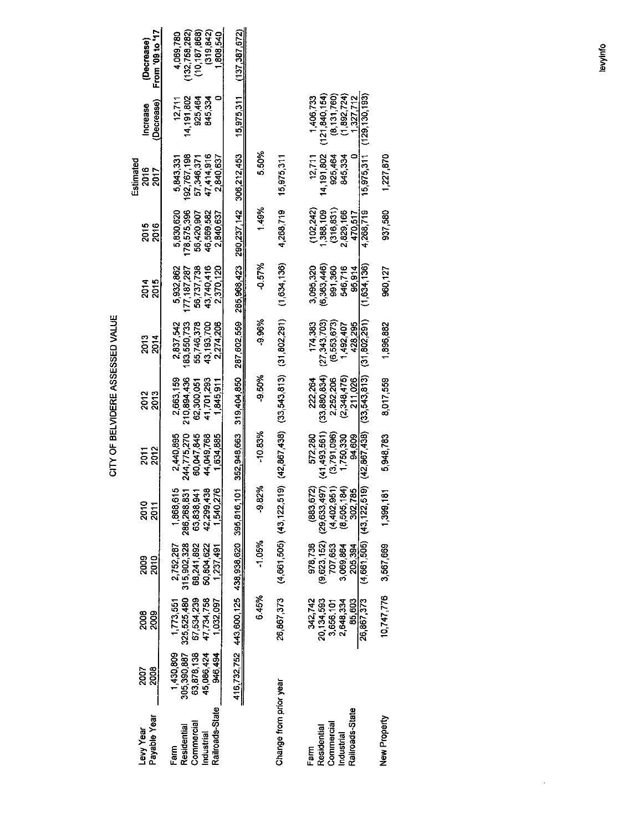|                                                                    |                                                                 |                                                                   |                                                                   |                                                                                 |                                                                  | GITY OF BELVIDERE ASSESSED VALUE                                  |                                                                   |                                                                   |                                                                   |                                                                   |                                                       |                                                                           |
|--------------------------------------------------------------------|-----------------------------------------------------------------|-------------------------------------------------------------------|-------------------------------------------------------------------|---------------------------------------------------------------------------------|------------------------------------------------------------------|-------------------------------------------------------------------|-------------------------------------------------------------------|-------------------------------------------------------------------|-------------------------------------------------------------------|-------------------------------------------------------------------|-------------------------------------------------------|---------------------------------------------------------------------------|
| Payable Year<br>Levy Year                                          | 2008<br>2007                                                    | 2008<br>2009                                                      | 2009<br>2010                                                      | 2010<br>2011                                                                    | 2012<br><b>2011</b>                                              | 2013<br>2013                                                      | 2013<br>2014                                                      | 2014<br>2015                                                      | 2016<br>2016                                                      | Estimated<br>2016<br>2017                                         | (Decrease)<br>Increase                                | From '09 to '17<br>(Decrease)                                             |
| Railroads-State<br>Commercial<br>Residential<br>Industrial<br>Farm | 45,086,424<br>1,430,809<br>305,390,887<br>63,878,138<br>946,494 | 67,534,239<br>47,734,758<br>325,525,480<br>1,032,097<br>1,773,551 | 315,902,328<br>68,241 892<br>50,804,622<br>2,752,287<br>1,237,491 | 42,299,438<br>$\circ$<br>1O<br>286,268,831<br>63838,941<br>1,540,27<br>1,868,61 | 2440,895<br>244,775,270<br>60,047,845<br>44,049,768<br>1,634,885 | 210,894,436<br>2,663,159<br>41,701,293<br>62,300,051<br>1,845,911 | 183,550,733<br>55,746,378<br>43,193,700<br>2,837,542<br>2,274,206 | 56,737,738<br>43,740,416<br>5,932,862<br>177,187,287<br>2,370,120 | 178,575,396<br>5,830,620<br>46,569,582<br>56,420,907<br>2,840,637 | 192,767,198<br>47,414,916<br>57,346,371<br>5,843,331<br>2,840,637 | $\circ$<br>14,191,802<br>925,464<br>845,334<br>12,711 | (10, 187, 868)<br>(319, 842)<br>(132, 758, 282)<br>1,808,540<br>4,069,780 |
|                                                                    | 416,732,752                                                     | 443,600,125                                                       | 438,938,620                                                       | 395,816,10                                                                      | 352,948,663                                                      | 319,404,850                                                       | 287,602,559                                                       | 285,968,423                                                       | 290,237,142                                                       | 306,212,453                                                       | 15,975,311                                            | (137, 387, 672)                                                           |
|                                                                    |                                                                 | 6.45%                                                             | $-1.05%$                                                          | ∗<br>$-9.82$                                                                    | $-10.83%$                                                        | -9.50%                                                            | -9.96%                                                            | $-0.57%$                                                          | 1.49%                                                             | 5.50%                                                             |                                                       |                                                                           |
| Change from prior year                                             |                                                                 | 26,867,373                                                        |                                                                   | $(4,661,505)$ $(43,122,519)$                                                    | (42, 867, 438)                                                   | (33,543,813)                                                      | (31,802,291)                                                      | (1,634,136)                                                       | 4,268,719                                                         | 15,975,311                                                        |                                                       |                                                                           |
| Commercial<br>Residential<br>Farm                                  |                                                                 | 342,742<br>20,134,593<br>3,656,101<br>2,648,334                   | (9,623,152)<br>978,736<br>707,653                                 | $(883, 672)$<br>$(29, 633, 497)$                                                | 572,280<br>(41,493,561)<br>(3,791,096)                           | (33, 880, 834)<br>222,264<br>2,252,206                            | (27, 343, 703)<br>(6,553,673)<br>174,383                          | (6,363,446)<br>3,095,320<br>991,360                               | (316, 831)<br>(102, 242)<br>1,388,109                             | 14,191,802<br>12,711<br>925,464                                   | (121, 840, 154)<br>(8, 131, 760)<br>1,406,733         |                                                                           |
| Railroads-State<br>Industrial                                      |                                                                 | 85,603<br>26,867,373                                              | (4,661,505)<br>3,069,864<br>205.394                               | (43, 122, 519)<br>$(4,402,951)$<br>$(8,505,184)$<br>$302,785$                   | (42, 867, 438)<br>1,750,330<br>94,609                            | (33,543,813)<br>(2,348,475)<br>211,026                            | (31,802,291)<br>428,295<br>1,492,407                              | (1,634,136)<br>546,716<br>95,914                                  | 2,829,166<br>4,268,719<br>470,517                                 | 15,975,311<br>845,334<br>0                                        | (129, 130, 193)<br>(1,892,724)<br>1,327,712           |                                                                           |
| New Property                                                       |                                                                 | 10,747,776                                                        | 3,567,669                                                         | 1399,18                                                                         | 5,948,783                                                        | 8,017,559                                                         | 1,896,882                                                         | 960,127                                                           | 937,580                                                           | 1,227,870                                                         |                                                       |                                                                           |
|                                                                    |                                                                 |                                                                   |                                                                   |                                                                                 |                                                                  |                                                                   |                                                                   |                                                                   |                                                                   |                                                                   |                                                       |                                                                           |
|                                                                    |                                                                 |                                                                   |                                                                   |                                                                                 |                                                                  |                                                                   |                                                                   |                                                                   |                                                                   |                                                                   |                                                       | levvinfo                                                                  |

≶ က္က WN N W LL r

 $\mathcal{A}$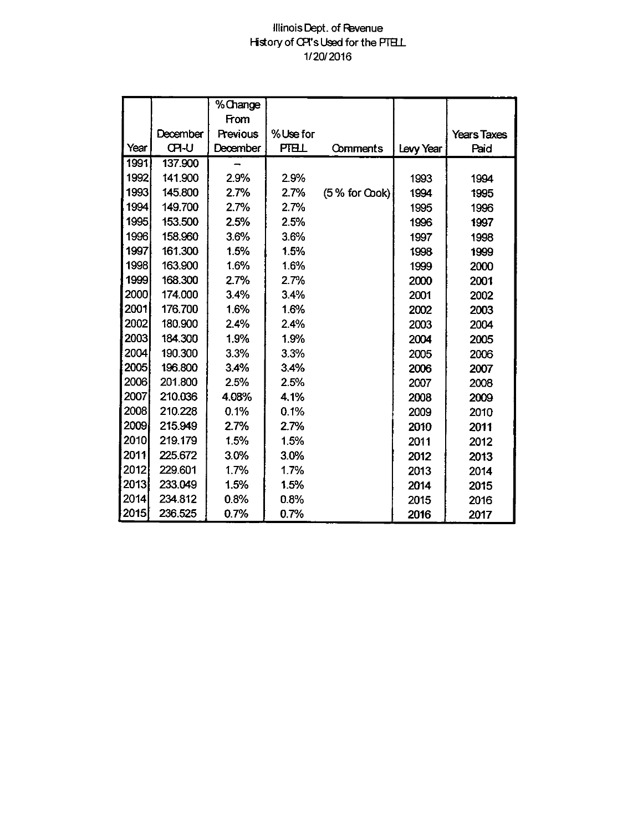## Illinois Dept. of Pevenue History of CPI's Used for the PTELL 1/ 20/ 2016

|      |              | %Change  |          |                 |           |                    |
|------|--------------|----------|----------|-----------------|-----------|--------------------|
|      |              | From     |          |                 |           |                    |
|      | December     | Previous | %Use for |                 |           | <b>Years Taxes</b> |
| Year | <b>CPI-U</b> | December | PTELL    | Comments        | Levy Year | Paid               |
| 1991 | 137.900      |          |          |                 |           |                    |
| 1992 | 141.900      | 2.9%     | 2.9%     |                 | 1993      | 1994               |
| 1993 | 145.800      | 2.7%     | 2.7%     | $(5%$ for Cook) | 1994      | 1995               |
| 1994 | 149.700      | 2.7%     | 2.7%     |                 | 1995      | 1996               |
| 1995 | 153.500      | 2.5%     | 2.5%     |                 | 1996      | 1997               |
| 1996 | 158.960      | 3.6%     | 3.6%     |                 | 1997      | 1998               |
| 1997 | 161.300      | 1.5%     | 1.5%     |                 | 1998      | 1999               |
| 1998 | 163.900      | 1.6%     | 1.6%     |                 | 1999      | 2000               |
| 1999 | 168.300      | 2.7%     | 2.7%     |                 | 2000      | 2001               |
| 2000 | 174.000      | 3.4%     | 3.4%     |                 | 2001      | 2002               |
| 2001 | 176.700      | 1.6%     | 1.6%     |                 | 2002      | 2003               |
| 2002 | 180.900      | 2.4%     | 2.4%     |                 | 2003      | 2004               |
| 2003 | 184.300      | 1.9%     | 1.9%     |                 | 2004      | 2005               |
| 2004 | 190.300      | 3.3%     | 3.3%     |                 | 2005      | 2006               |
| 2005 | 196.800      | 3.4%     | 3.4%     |                 | 2006      | 2007               |
| 2006 | 201.800      | 2.5%     | 2.5%     |                 | 2007      | 2008               |
| 2007 | 210.036      | 4.08%    | 4.1%     |                 | 2008      | 2009               |
| 2008 | 210.228      | 0.1%     | 0.1%     |                 | 2009      | 2010               |
| 2009 | 215.949      | 2.7%     | 2.7%     |                 | 2010      | 2011               |
| 2010 | 219.179      | 1.5%     | 1.5%     |                 | 2011      | 2012               |
| 2011 | 225.672      | 3.0%     | 3.0%     |                 | 2012      | 2013               |
| 2012 | 229.601      | 1.7%     | 1.7%     |                 | 2013      | 2014               |
| 2013 | 233.049      | 1.5%     | 1.5%     |                 | 2014      | 2015               |
| 2014 | 234.812      | 0.8%     | 0.8%     |                 | 2015      | 2016               |
| 2015 | 236.525      | 0.7%     | 0.7%     |                 | 2016      | 2017               |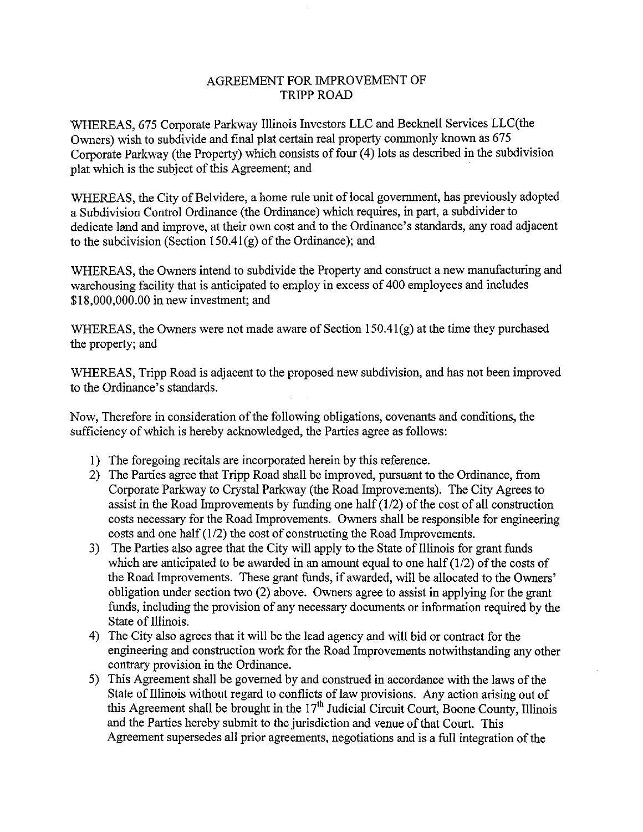## AGREEMENT FOR IMPROVEMENT OF TRIPP ROAD

WHEREAS, 675 Corporate Parkway Illinois Investors LLC and Becknell Services LLC(the Owners) wish to subdivide and final plat certain real property commonly known as 675 Corporate Parkway (the Property) which consists of four( 4) lots as described in the subdivision plat which is the subject of this Agreement; and

WHEREAS, the City of Belvidere, a home rule unit of local government, has previously adopted a Subdivision Control Ordinance (the Ordinance) which requires, in part, a subdivider to dedicate land and improve, at their own cost and to the Ordinance's standards, any road adjacent to the subdivision (Section 150.41 $(g)$ ) of the Ordinance); and

WHEREAS, the Owners intend to subdivide the Property and construct a new manufacturing and warehousing facility that is anticipated to employ in excess of 400 employees and includes 18, 000,000.00 in new investment; and

WHEREAS, the Owners were not made aware of Section 150.41(g) at the time they purchased the property; and

WHEREAS, Tripp Road is adjacent to the proposed new subdivision, and has not been improved to the Ordinance's standards.

Now, Therefore in consideration of the following obligations, covenants and conditions, the sufficiency of which is hereby acknowledged, the Parties agree as follows:

- 1) The foregoing recitals are incorporated herein by this reference.
- 2) The Parties agree that Tripp Road shall be improved, pursuant to the Ordinance, from Corporate Parkway to Crystal Parkway (the Road Improvements). The City Agrees to assist in the Road Improvements by funding one half  $(1/2)$  of the cost of all construction costs necessary for the Road Improvements. Owners shall be responsible for engineering costs and one half  $(1/2)$  the cost of constructing the Road Improvements.
- 3) The Parties also agree that the City will apply to the State of Illinois for grant funds which are anticipated to be awarded in an amount equal to one half  $(1/2)$  of the costs of the Road Improvements. These grant funds, if awarded, will be allocated to the Owners' obligation under section two (2) above. Owners agree to assist in applying for the grant funds, including the provision of any necessary documents or information required by the State of Illinois.
- 4) The City also agrees that it will be the lead agency and will bid or contract for the engineering and construction work for the Road Improvements notwithstanding any other contrary provision in the Ordinance.
- 5) This Agreement shall be governed by and construed in accordance with the laws of the State of Illinois without regard to conflicts of law provisions. Any action arising out of this Agreement shall be brought in the 17<sup>th</sup> Judicial Circuit Court, Boone County, Illinois and the Parties hereby submit to the jurisdiction and venue of that Court. This Agreement supersedes all prior agreements, negotiations and is a full integration of the